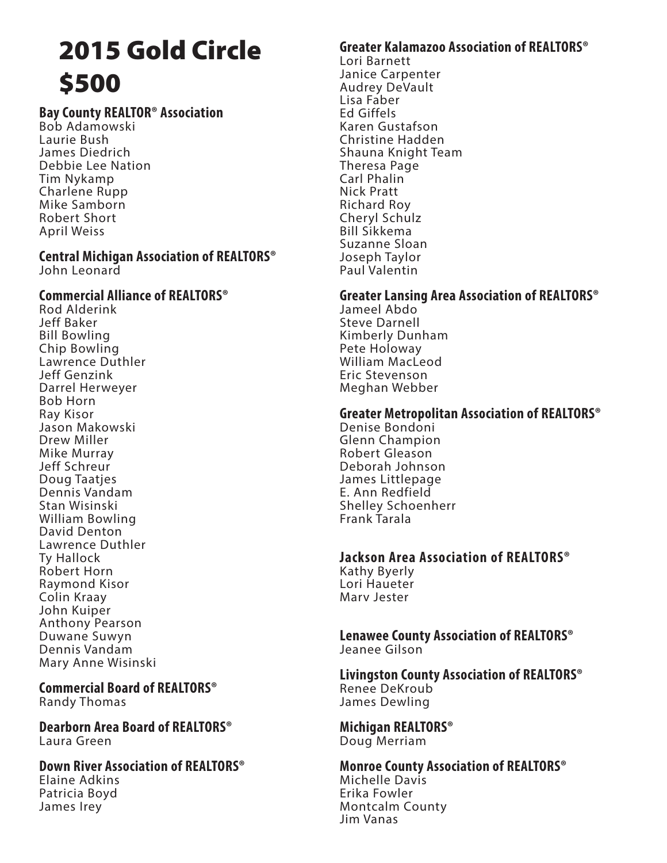# 2015 Gold Circle \$500

## **Bay County REALTOR® Association**

Bob Adamowski Laurie Bush James Diedrich Debbie Lee Nation Tim Nykamp Charlene Rupp Mike Samborn Robert Short April Weiss

#### **Central Michigan Association of REALTORS®** John Leonard

#### **Commercial Alliance of REALTORS®**

Rod Alderink Jeff Baker Bill Bowling Chip Bowling Lawrence Duthler Jeff Genzink Darrel Herweyer Bob Horn Ray Kisor Jason Makowski Drew Miller Mike Murray Jeff Schreur Doug Taatjes Dennis Vandam Stan Wisinski William Bowling David Denton Lawrence Duthler Ty Hallock Robert Horn Raymond Kisor Colin Kraay John Kuiper Anthony Pearson Duwane Suwyn Dennis Vandam Mary Anne Wisinski

#### **Commercial Board of REALTORS®** Randy Thomas

**Dearborn Area Board of REALTORS®** Laura Green

#### **Down River Association of REALTORS®**

Elaine Adkins Patricia Boyd James Irey

#### **Greater Kalamazoo Association of REALTORS®**

Lori Barnett Janice Carpenter Audrey DeVault Lisa Faber Ed Giffels Karen Gustafson Christine Hadden Shauna Knight Team Theresa Page Carl Phalin Nick Pratt Richard Roy Cheryl Schulz Bill Sikkema Suzanne Sloan Joseph Taylor Paul Valentin

#### **Greater Lansing Area Association of REALTORS®**

Jameel Abdo Steve Darnell Kimberly Dunham Pete Holoway William MacLeod Eric Stevenson Meghan Webber

#### **Greater Metropolitan Association of REALTORS®**

Denise Bondoni Glenn Champion Robert Gleason Deborah Johnson James Littlepage E. Ann Redfield Shelley Schoenherr Frank Tarala

### **Jackson Area Association of REALTORS®**

Kathy Byerly Lori Haueter Marv Jester

**Lenawee County Association of REALTORS®** Jeanee Gilson

**Livingston County Association of REALTORS®** Renee DeKroub James Dewling

**Michigan REALTORS®** Doug Merriam

**Monroe County Association of REALTORS®** Michelle Davis Erika Fowler Montcalm County Jim Vanas